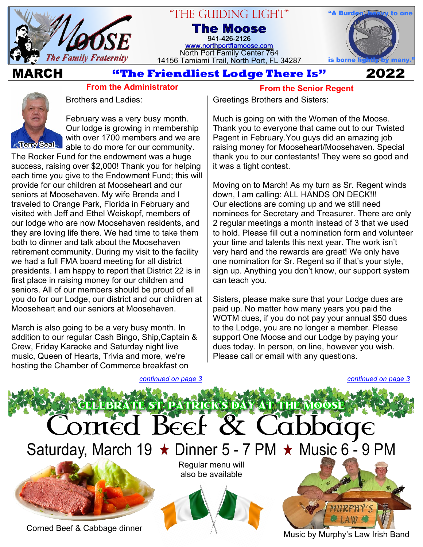

# "The Guiding Light" **The Moose**

941-426-2126 [www.northportflamoose.com](https://www.northportflamoose.com) North Port Family Center 764 14156 Tamiami Trail, North Port, FL 34287



## **MARCH 2022**

## **From the Administrator**



Brothers and Ladies:

February was a very busy month. Our lodge is growing in membership with over 1700 members and we are able to do more for our community.

The Rocker Fund for the endowment was a huge success, raising over \$2,000! Thank you for helping each time you give to the Endowment Fund; this will provide for our children at Mooseheart and our seniors at Moosehaven. My wife Brenda and I traveled to Orange Park, Florida in February and visited with Jeff and Ethel Weiskopf, members of our lodge who are now Moosehaven residents, and they are loving life there. We had time to take them both to dinner and talk about the Moosehaven retirement community. During my visit to the facility we had a full FMA board meeting for all district presidents. I am happy to report that District 22 is in first place in raising money for our children and seniors. All of our members should be proud of all you do for our Lodge, our district and our children at Mooseheart and our seniors at Moosehaven.

March is also going to be a very busy month. In addition to our regular Cash Bingo, Ship,Captain & Crew, Friday Karaoke and Saturday night live music, Queen of Hearts, Trivia and more, we're hosting the Chamber of Commerce breakfast on

**From the Senior Regent**

Greetings Brothers and Sisters:

Much is going on with the Women of the Moose. Thank you to everyone that came out to our Twisted Pagent in February.You guys did an amazing job raising money for Mooseheart/Moosehaven. Special thank you to our contestants! They were so good and it was a tight contest.

Moving on to March! As my turn as Sr. Regent winds down, I am calling: ALL HANDS ON DECK!!! Our elections are coming up and we still need nominees for Secretary and Treasurer. There are only 2 regular meetings a month instead of 3 that we used to hold. Please fill out a nomination form and volunteer your time and talents this next year. The work isn't very hard and the rewards are great! We only have one nomination for Sr. Regent so if that's your style, sign up. Anything you don't know, our support system can teach you.

Sisters, please make sure that your Lodge dues are paid up. No matter how many years you paid the WOTM dues, if you do not pay your annual \$50 dues to the Lodge, you are no longer a member. Please support One Moose and our Lodge by paying your dues today. In person, on line, however you wish. Please call or email with any questions.

*[continued on page 3](#page-2-1)*



Music by Murphy's Law Irish Band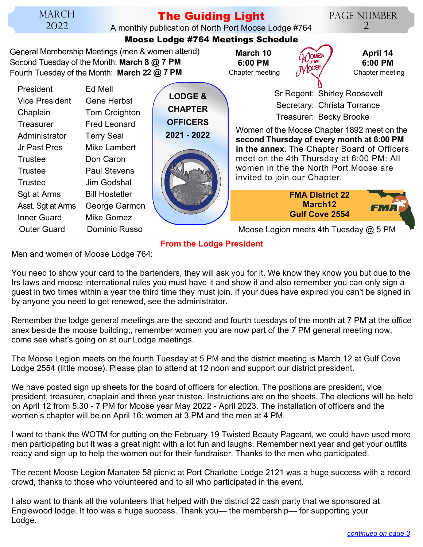# **The Guiding Light**

A monthly publication of North Port Moose Lodge #764 **Moose Lodge #764 Meetings Schedule**

Page Number  $\mathcal{D}_{\cdot}$ 

| General Membership Meetings (men & women attend)<br>March 10<br>April 14<br>Second Tuesday of the Month: March 8 @ 7 PM<br>6:00 PM<br>6:00 PM<br>M <sup>005</sup><br>Fourth Tuesday of the Month: March 22 @ 7 PM<br>Chapter meeting<br>Chapter meeting<br><b>President</b><br>Ed Mell<br>Sr Regent: Shirley Roosevelt<br><b>LODGE &amp;</b><br><b>Vice President</b><br><b>Gene Herbst</b><br>Secretary: Christa Torrance<br><b>CHAPTER</b><br>Tom Creighton<br>Chaplain<br>Treasurer: Becky Brooke<br><b>OFFICERS</b><br><b>Fred Leonard</b><br><b>Treasurer</b><br>Women of the Moose Chapter 1892 meet on the<br>2021 - 2022<br>Administrator<br><b>Terry Seal</b><br>second Thursday of every month at 6:00 PM<br>Mike Lambert<br>Jr Past Pres<br>in the annex. The Chapter Board of Officers<br>meet on the 4th Thursday at 6:00 PM: All<br>Don Caron<br><b>Trustee</b><br>women in the the North Port Moose are<br>Trustee<br><b>Paul Stevens</b><br>invited to join our Chapter.<br>Jim Godshal<br>Trustee<br>Sgt at Arms<br><b>Bill Hostetler</b><br><b>FMA District 22</b><br>March <sub>12</sub><br>Asst. Sgt at Arms<br>George Garmon<br>FMA<br><b>Gulf Cove 2554</b><br><b>Inner Guard</b><br>Mike Gomez<br><b>Outer Guard</b><br>Dominic Russo<br>Moose Legion meets 4th Tuesday @ 5 PM | <b>MOOSE LOAGE #764 Meetings Schedule</b> |  |  |  |  |  |  |
|-------------------------------------------------------------------------------------------------------------------------------------------------------------------------------------------------------------------------------------------------------------------------------------------------------------------------------------------------------------------------------------------------------------------------------------------------------------------------------------------------------------------------------------------------------------------------------------------------------------------------------------------------------------------------------------------------------------------------------------------------------------------------------------------------------------------------------------------------------------------------------------------------------------------------------------------------------------------------------------------------------------------------------------------------------------------------------------------------------------------------------------------------------------------------------------------------------------------------------------------------------------------------------------------------------|-------------------------------------------|--|--|--|--|--|--|
|                                                                                                                                                                                                                                                                                                                                                                                                                                                                                                                                                                                                                                                                                                                                                                                                                                                                                                                                                                                                                                                                                                                                                                                                                                                                                                       |                                           |  |  |  |  |  |  |
|                                                                                                                                                                                                                                                                                                                                                                                                                                                                                                                                                                                                                                                                                                                                                                                                                                                                                                                                                                                                                                                                                                                                                                                                                                                                                                       |                                           |  |  |  |  |  |  |
|                                                                                                                                                                                                                                                                                                                                                                                                                                                                                                                                                                                                                                                                                                                                                                                                                                                                                                                                                                                                                                                                                                                                                                                                                                                                                                       |                                           |  |  |  |  |  |  |

**From the Lodge President**

Men and women of Moose Lodge 764:

You need to show your card to the bartenders, they will ask you for it. We know they know you but due to the Irs laws and moose international rules you must have it and show it and also remember you can only sign a guest in two times within a year the third time they must join. If your dues have expired you can't be signed in by anyone you need to get renewed, see the administrator.

Remember the lodge general meetings are the second and fourth tuesdays of the month at 7 PM at the office anex beside the moose building;, remember women you are now part of the 7 PM general meeting now, come see what's going on at our Lodge meetings.

The Moose Legion meets on the fourth Tuesday at 5 PM and the district meeting is March 12 at Gulf Cove Lodge 2554 (little moose). Please plan to attend at 12 noon and support our district president.

We have posted sign up sheets for the board of officers for election. The positions are president, vice president, treasurer, chaplain and three year trustee. Instructions are on the sheets. The elections will be held on April 12 from 5:30 - 7 PM for Moose year May 2022 - April 2023. The installation of officers and the women's chapter will be on April 16: women at 3 PM and the men at 4 PM.

I want to thank the WOTM for putting on the February 19 Twisted Beauty Pageant, we could have used more men participating but it was a great night with a lot fun and laughs. Remember next year and get your outfits ready and sign up to help the women out for their fundraiser. Thanks to the men who participated.

The recent Moose Legion Manatee 58 picnic at Port Charlotte Lodge 2121 was a huge success with a record crowd, thanks to those who volunteered and to all who participated in the event.

I also want to thank all the volunteers that helped with the district 22 cash party that we sponsored at Englewood lodge. It too was a huge success. Thank you— the membership— for supporting your Lodge.